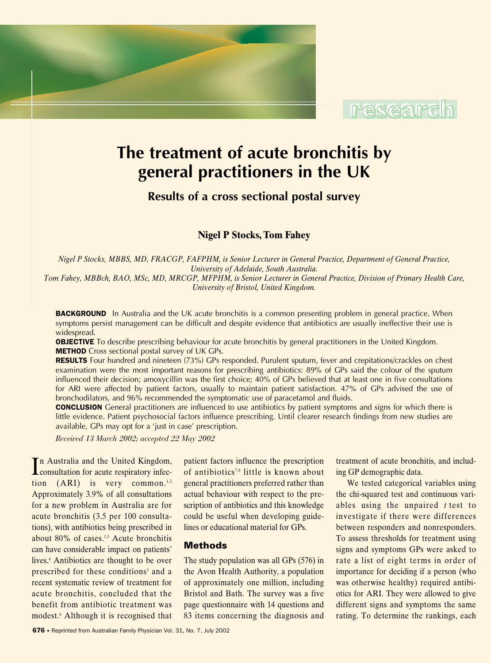



# **The treatment of acute bronchitis by general practitioners in the UK**

**Results of a cross sectional postal survey**

**Nigel P Stocks, Tom Fahey**

*Nigel P Stocks, MBBS, MD, FRACGP, FAFPHM, is Senior Lecturer in General Practice, Department of General Practice, University of Adelaide, South Australia. Tom Fahey, MBBch, BAO, MSc, MD, MRCGP, MFPHM, is Senior Lecturer in General Practice, Division of Primary Health Care, University of Bristol, United Kingdom.* 

**BACKGROUND** In Australia and the UK acute bronchitis is a common presenting problem in general practice. When symptoms persist management can be difficult and despite evidence that antibiotics are usually ineffective their use is widespread.

**OBJECTIVE** To describe prescribing behaviour for acute bronchitis by general practitioners in the United Kingdom. **METHOD** Cross sectional postal survey of UK GPs.

RESULTS Four hundred and nineteen (73%) GPs responded. Purulent sputum, fever and crepitations/crackles on chest examination were the most important reasons for prescribing antibiotics: 89% of GPs said the colour of the sputum influenced their decision; amoxycillin was the first choice; 40% of GPs believed that at least one in five consultations for ARI were affected by patient factors, usually to maintain patient satisfaction. 47% of GPs advised the use of bronchodilators, and 96% recommended the symptomatic use of paracetamol and fluids.

**CONCLUSION** General practitioners are influenced to use antibiotics by patient symptoms and signs for which there is little evidence. Patient psychosocial factors influence prescribing. Until clearer research findings from new studies are available, GPs may opt for a 'just in case' prescription.

*Received 13 March 2002; accepted 22 May 2002*

In Australia and the United Kingdom,<br>consultation for acute respiratory infecn Australia and the United Kingdom, tion  $(ARI)$  is very common.<sup>1,2</sup> Approximately 3.9% of all consultations for a new problem in Australia are for acute bronchitis (3.5 per 100 consultations), with antibiotics being prescribed in about 80% of cases.<sup>1,3</sup> Acute bronchitis can have considerable impact on patients' lives.4 Antibiotics are thought to be over prescribed for these conditions<sup>5</sup> and a recent systematic review of treatment for acute bronchitis, concluded that the benefit from antibiotic treatment was modest.6 Although it is recognised that

patient factors influence the prescription of antibiotics<sup>7,8</sup> little is known about general practitioners preferred rather than actual behaviour with respect to the prescription of antibiotics and this knowledge could be useful when developing guidelines or educational material for GPs.

# **Methods**

The study population was all GPs (576) in the Avon Health Authority, a population of approximately one million, including Bristol and Bath. The survey was a five page questionnaire with 14 questions and 83 items concerning the diagnosis and

treatment of acute bronchitis, and including GP demographic data.

We tested categorical variables using the chi-squared test and continuous variables using the unpaired *t* test to investigate if there were differences between responders and nonresponders. To assess thresholds for treatment using signs and symptoms GPs were asked to rate a list of eight terms in order of importance for deciding if a person (who was otherwise healthy) required antibiotics for ARI. They were allowed to give different signs and symptoms the same rating. To determine the rankings, each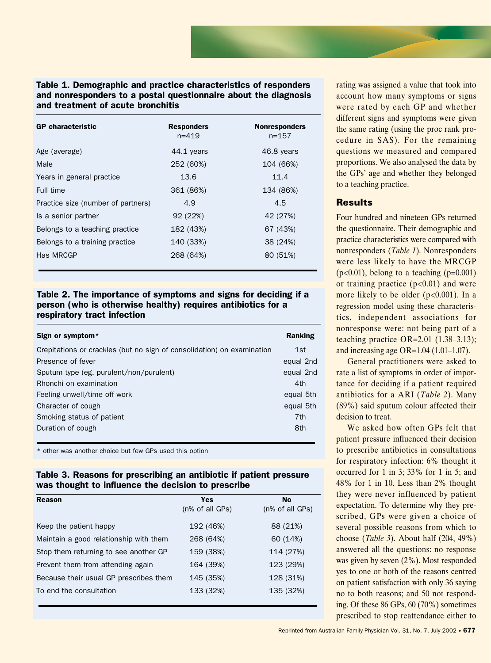## Table 1. Demographic and practice characteristics of responders and nonresponders to a postal questionnaire about the diagnosis and treatment of acute bronchitis

| <b>GP</b> characteristic           | <b>Responders</b><br>$n = 419$ | <b>Nonresponders</b><br>$n = 157$ |
|------------------------------------|--------------------------------|-----------------------------------|
| Age (average)                      | 44.1 years                     | 46.8 years                        |
| Male                               | 252 (60%)                      | 104 (66%)                         |
| Years in general practice          | 13.6                           | 11.4                              |
| Full time                          | 361 (86%)                      | 134 (86%)                         |
| Practice size (number of partners) | 4.9                            | 4.5                               |
| Is a senior partner                | 92 (22%)                       | 42 (27%)                          |
| Belongs to a teaching practice     | 182 (43%)                      | 67 (43%)                          |
| Belongs to a training practice     | 140 (33%)                      | 38 (24%)                          |
| Has MRCGP                          | 268 (64%)                      | 80 (51%)                          |

## Table 2. The importance of symptoms and signs for deciding if a person (who is otherwise healthy) requires antibiotics for a respiratory tract infection

| Sign or symptom*                                                       | Ranking   |
|------------------------------------------------------------------------|-----------|
| Crepitations or crackles (but no sign of consolidation) on examination | 1st       |
| Presence of fever                                                      | equal 2nd |
| Sputum type (eg. purulent/non/purulent)                                | equal 2nd |
| Rhonchi on examination                                                 | 4th       |
| Feeling unwell/time off work                                           | equal 5th |
| Character of cough                                                     | equal 5th |
| Smoking status of patient                                              | 7th       |
| Duration of cough                                                      | 8th       |

\* other was another choice but few GPs used this option

## Table 3. Reasons for prescribing an antibiotic if patient pressure was thought to influence the decision to prescribe

| <b>Reason</b>                          | <b>Yes</b>      | <b>No</b>       |
|----------------------------------------|-----------------|-----------------|
|                                        | (n% of all GPs) | (n% of all GPs) |
| Keep the patient happy                 | 192 (46%)       | 88 (21%)        |
| Maintain a good relationship with them | 268 (64%)       | 60 (14%)        |
| Stop them returning to see another GP  | 159 (38%)       | 114 (27%)       |
| Prevent them from attending again      | 164 (39%)       | 123 (29%)       |
| Because their usual GP prescribes them | 145 (35%)       | 128 (31%)       |
| To end the consultation                | 133 (32%)       | 135 (32%)       |
|                                        |                 |                 |

rating was assigned a value that took into account how many symptoms or signs were rated by each GP and whether different signs and symptoms were given the same rating (using the proc rank procedure in SAS). For the remaining questions we measured and compared proportions. We also analysed the data by the GPs' age and whether they belonged to a teaching practice.

# **Results**

Four hundred and nineteen GPs returned the questionnaire. Their demographic and practice characteristics were compared with nonresponders (*Table 1*). Nonresponders were less likely to have the MRCGP  $(p<0.01)$ , belong to a teaching  $(p=0.001)$ or training practice  $(p<0.01)$  and were more likely to be older  $(p<0.001)$ . In a regression model using these characteristics, independent associations for nonresponse were: not being part of a teaching practice OR=2.01 (1.38–3.13); and increasing age OR=1.04 (1.01–1.07).

General practitioners were asked to rate a list of symptoms in order of importance for deciding if a patient required antibiotics for a ARI (*Table 2*). Many (89%) said sputum colour affected their decision to treat.

We asked how often GPs felt that patient pressure influenced their decision to prescribe antibiotics in consultations for respiratory infection: 6% thought it occurred for 1 in 3; 33% for 1 in 5; and 48% for 1 in 10. Less than 2% thought they were never influenced by patient expectation. To determine why they prescribed, GPs were given a choice of several possible reasons from which to choose (*Table 3*). About half (204, 49%) answered all the questions: no response was given by seven (2%). Most responded yes to one or both of the reasons centred on patient satisfaction with only 36 saying no to both reasons; and 50 not responding. Of these 86 GPs, 60 (70%) sometimes prescribed to stop reattendance either to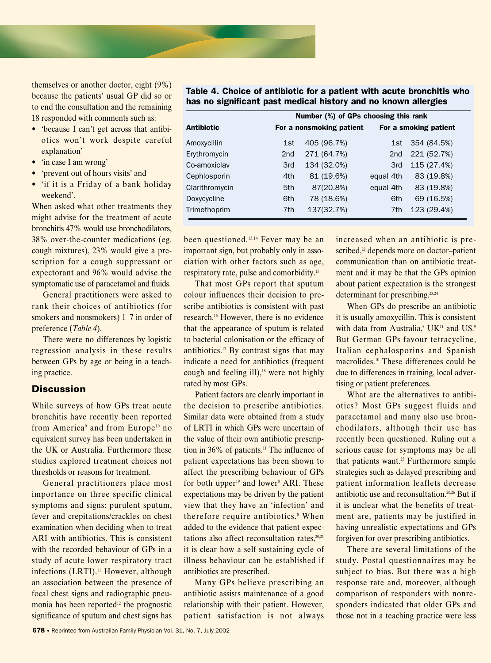themselves or another doctor, eight (9%) because the patients' usual GP did so or to end the consultation and the remaining 18 responded with comments such as:

- 'because I can't get across that antibiotics won't work despite careful explanation'
- 'in case I am wrong'
- 'prevent out of hours visits' and
- 'if it is a Friday of a bank holiday weekend'.

When asked what other treatments they might advise for the treatment of acute bronchitis 47% would use bronchodilators, 38% over-the-counter medications (eg. cough mixtures), 23% would give a prescription for a cough suppressant or expectorant and 96% would advise the symptomatic use of paracetamol and fluids.

General practitioners were asked to rank their choices of antibiotics (for smokers and nonsmokers) 1–7 in order of preference (*Table 4*).

There were no differences by logistic regression analysis in these results between GPs by age or being in a teaching practice.

# **Discussion**

While surveys of how GPs treat acute bronchitis have recently been reported from America<sup>9</sup> and from Europe<sup>10</sup> no equivalent survey has been undertaken in the UK or Australia. Furthermore these studies explored treatment choices not thresholds or reasons for treatment.

General practitioners place most importance on three specific clinical symptoms and signs: purulent sputum, fever and crepitations/crackles on chest examination when deciding when to treat ARI with antibiotics. This is consistent with the recorded behaviour of GPs in a study of acute lower respiratory tract infections  $(LRTI).<sup>11</sup>$  However, although an association between the presence of focal chest signs and radiographic pneumonia has been reported $12$  the prognostic significance of sputum and chest signs has

Table 4. Choice of antibiotic for a patient with acute bronchitis who has no significant past medical history and no known allergies

|                |                 | Number (%) of GPs choosing this rank |                 |                       |  |
|----------------|-----------------|--------------------------------------|-----------------|-----------------------|--|
| Antibiotic     |                 | For a nonsmoking patient             |                 | For a smoking patient |  |
| Amoxycillin    | 1st             | 405 (96.7%)                          | 1st             | 354 (84.5%)           |  |
| Erythromycin   | 2 <sub>nd</sub> | 271 (64.7%)                          | 2 <sub>nd</sub> | 221 (52.7%)           |  |
| Co-amoxiclav   | 3rd             | 134 (32.0%)                          | 3rd             | 115 (27.4%)           |  |
| Cephlosporin   | 4th             | 81 (19.6%)                           | equal 4th       | 83 (19.8%)            |  |
| Clarithromycin | 5th             | 87(20.8%)                            | equal 4th       | 83 (19.8%)            |  |
| Doxycycline    | 6th             | 78 (18.6%)                           | 6th             | 69 (16.5%)            |  |
| Trimethoprim   | 7th             | 137(32.7%)                           | 7th             | 123 (29.4%)           |  |

been questioned.<sup>13,14</sup> Fever may be an important sign, but probably only in association with other factors such as age, respiratory rate, pulse and comorbidity.15

That most GPs report that sputum colour influences their decision to prescribe antibiotics is consistent with past research.16 However, there is no evidence that the appearance of sputum is related to bacterial colonisation or the efficacy of antibiotics.17 By contrast signs that may indicate a need for antibiotics (frequent cough and feeling ill),<sup>18</sup> were not highly rated by most GPs.

Patient factors are clearly important in the decision to prescribe antibiotics. Similar data were obtained from a study of LRTI in which GPs were uncertain of the value of their own antibiotic prescription in  $36\%$  of patients.<sup>11</sup> The influence of patient expectations has been shown to affect the prescribing behaviour of GPs for both upper $19$  and lower<sup>8</sup> ARI. These expectations may be driven by the patient view that they have an 'infection' and therefore require antibiotics.<sup>8</sup> When added to the evidence that patient expectations also affect reconsultation rates, $20,21$ it is clear how a self sustaining cycle of illness behaviour can be established if antibiotics are prescribed.

Many GPs believe prescribing an antibiotic assists maintenance of a good relationship with their patient. However, patient satisfaction is not always increased when an antibiotic is prescribed, $2$  depends more on doctor-patient communication than on antibiotic treatment and it may be that the GPs opinion about patient expectation is the strongest determinant for prescribing.<sup>23,24</sup>

When GPs do prescribe an antibiotic it is usually amoxycillin. This is consistent with data from Australia,<sup>3</sup> UK<sup>11</sup> and US.<sup>9</sup> But German GPs favour tetracycline, Italian cephalosporins and Spanish macrolides.<sup>10</sup> These differences could be due to differences in training, local advertising or patient preferences.

What are the alternatives to antibiotics? Most GPs suggest fluids and paracetamol and many also use bronchodilators, although their use has recently been questioned. Ruling out a serious cause for symptoms may be all that patients want.<sup>25</sup> Furthermore simple strategies such as delayed prescribing and patient information leaflets decrease antibiotic use and reconsultation.20,26 But if it is unclear what the benefits of treatment are, patients may be justified in having unrealistic expectations and GPs forgiven for over prescribing antibiotics.

There are several limitations of the study. Postal questionnaires may be subject to bias. But there was a high response rate and, moreover, although comparison of responders with nonresponders indicated that older GPs and those not in a teaching practice were less